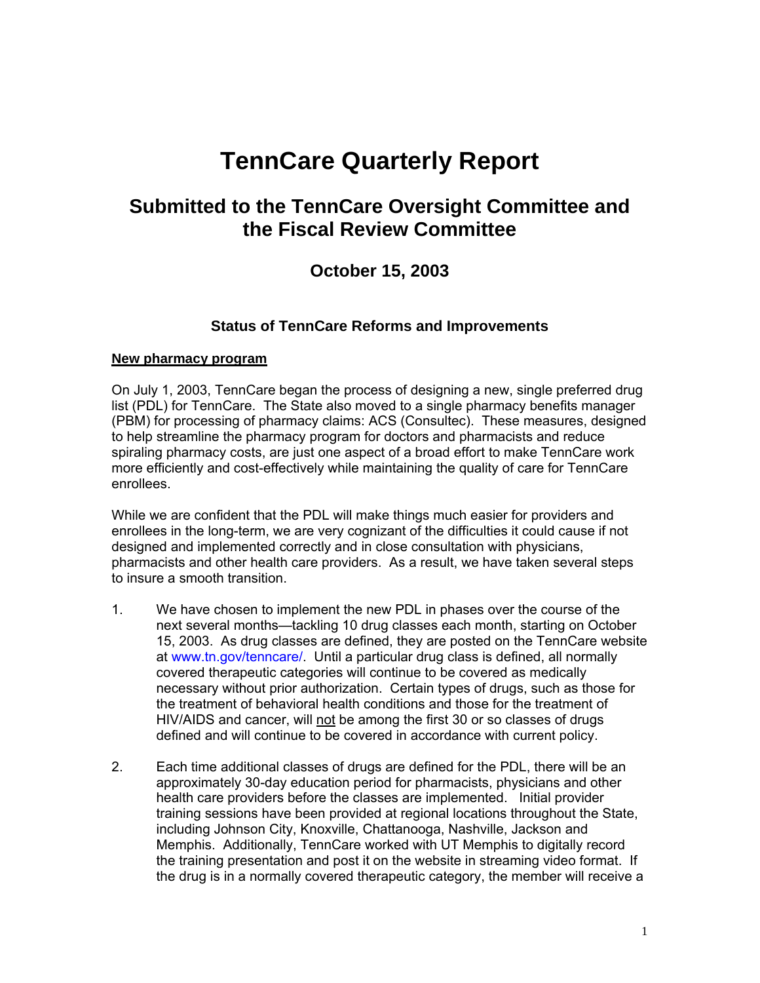# **TennCare Quarterly Report**

# **Submitted to the TennCare Oversight Committee and the Fiscal Review Committee**

# **October 15, 2003**

#### **Status of TennCare Reforms and Improvements**

#### **New pharmacy program**

On July 1, 2003, TennCare began the process of designing a new, single preferred drug list (PDL) for TennCare. The State also moved to a single pharmacy benefits manager (PBM) for processing of pharmacy claims: ACS (Consultec). These measures, designed to help streamline the pharmacy program for doctors and pharmacists and reduce spiraling pharmacy costs, are just one aspect of a broad effort to make TennCare work more efficiently and cost-effectively while maintaining the quality of care for TennCare enrollees.

While we are confident that the PDL will make things much easier for providers and enrollees in the long-term, we are very cognizant of the difficulties it could cause if not designed and implemented correctly and in close consultation with physicians, pharmacists and other health care providers. As a result, we have taken several steps to insure a smooth transition.

- 1. We have chosen to implement the new PDL in phases over the course of the next several months—tackling 10 drug classes each month, starting on October 15, 2003. As drug classes are defined, they are posted on the TennCare website at www.tn.gov/tenncare/. Until a particular drug class is defined, all normally covered therapeutic categories will continue to be covered as medically necessary without prior authorization. Certain types of drugs, such as those for the treatment of behavioral health conditions and those for the treatment of HIV/AIDS and cancer, will not be among the first 30 or so classes of drugs defined and will continue to be covered in accordance with current policy.
- 2. Each time additional classes of drugs are defined for the PDL, there will be an approximately 30-day education period for pharmacists, physicians and other health care providers before the classes are implemented. Initial provider training sessions have been provided at regional locations throughout the State, including Johnson City, Knoxville, Chattanooga, Nashville, Jackson and Memphis. Additionally, TennCare worked with UT Memphis to digitally record the training presentation and post it on the website in streaming video format. If the drug is in a normally covered therapeutic category, the member will receive a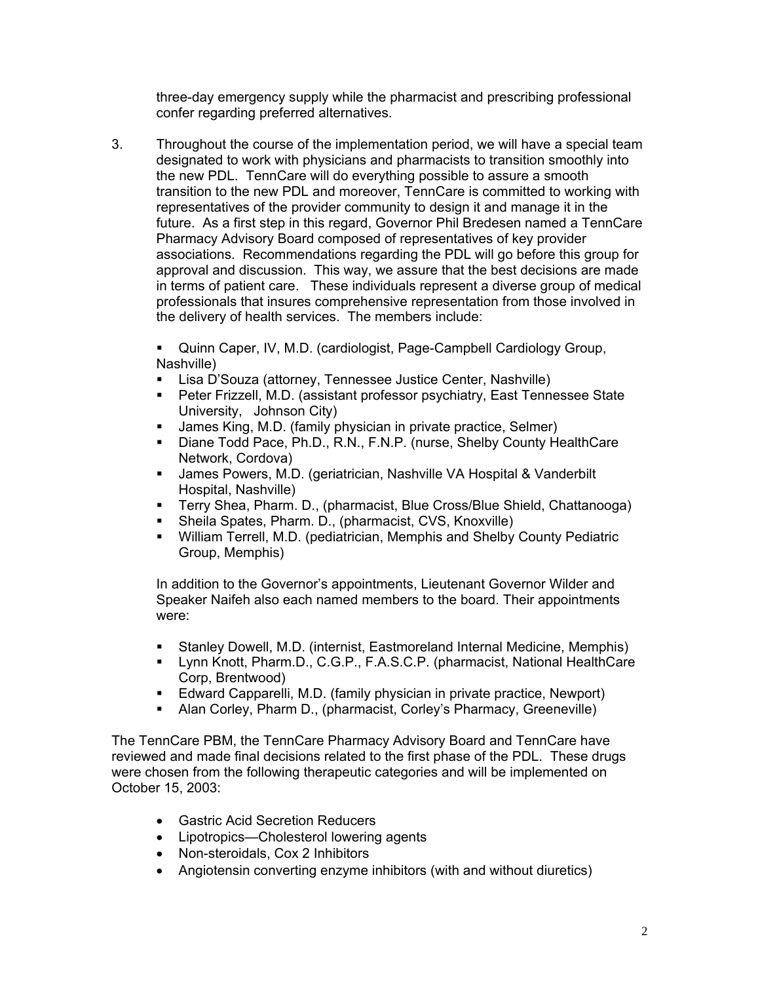three-day emergency supply while the pharmacist and prescribing professional confer regarding preferred alternatives.

3. Throughout the course of the implementation period, we will have a special team designated to work with physicians and pharmacists to transition smoothly into the new PDL. TennCare will do everything possible to assure a smooth transition to the new PDL and moreover, TennCare is committed to working with representatives of the provider community to design it and manage it in the future. As a first step in this regard, Governor Phil Bredesen named a TennCare Pharmacy Advisory Board composed of representatives of key provider associations. Recommendations regarding the PDL will go before this group for approval and discussion. This way, we assure that the best decisions are made in terms of patient care. These individuals represent a diverse group of medical professionals that insures comprehensive representation from those involved in the delivery of health services. The members include:

 Quinn Caper, IV, M.D. (cardiologist, Page-Campbell Cardiology Group, Nashville)

- Lisa D'Souza (attorney, Tennessee Justice Center, Nashville)
- Peter Frizzell, M.D. (assistant professor psychiatry, East Tennessee State University, Johnson City)
- James King, M.D. (family physician in private practice, Selmer)
- Diane Todd Pace, Ph.D., R.N., F.N.P. (nurse, Shelby County HealthCare Network, Cordova)
- James Powers, M.D. (geriatrician, Nashville VA Hospital & Vanderbilt Hospital, Nashville)
- Terry Shea, Pharm. D., (pharmacist, Blue Cross/Blue Shield, Chattanooga)
- Sheila Spates, Pharm. D., (pharmacist, CVS, Knoxville)
- William Terrell, M.D. (pediatrician, Memphis and Shelby County Pediatric Group, Memphis)

 In addition to the Governor's appointments, Lieutenant Governor Wilder and Speaker Naifeh also each named members to the board. Their appointments were:

- Stanley Dowell, M.D. (internist, Eastmoreland Internal Medicine, Memphis)
- Lynn Knott, Pharm.D., C.G.P., F.A.S.C.P. (pharmacist, National HealthCare Corp, Brentwood)
- Edward Capparelli, M.D. (family physician in private practice, Newport)
- Alan Corley, Pharm D., (pharmacist, Corley's Pharmacy, Greeneville)

The TennCare PBM, the TennCare Pharmacy Advisory Board and TennCare have reviewed and made final decisions related to the first phase of the PDL. These drugs were chosen from the following therapeutic categories and will be implemented on October 15, 2003:

- Gastric Acid Secretion Reducers
- Lipotropics—Cholesterol lowering agents
- Non-steroidals, Cox 2 Inhibitors
- Angiotensin converting enzyme inhibitors (with and without diuretics)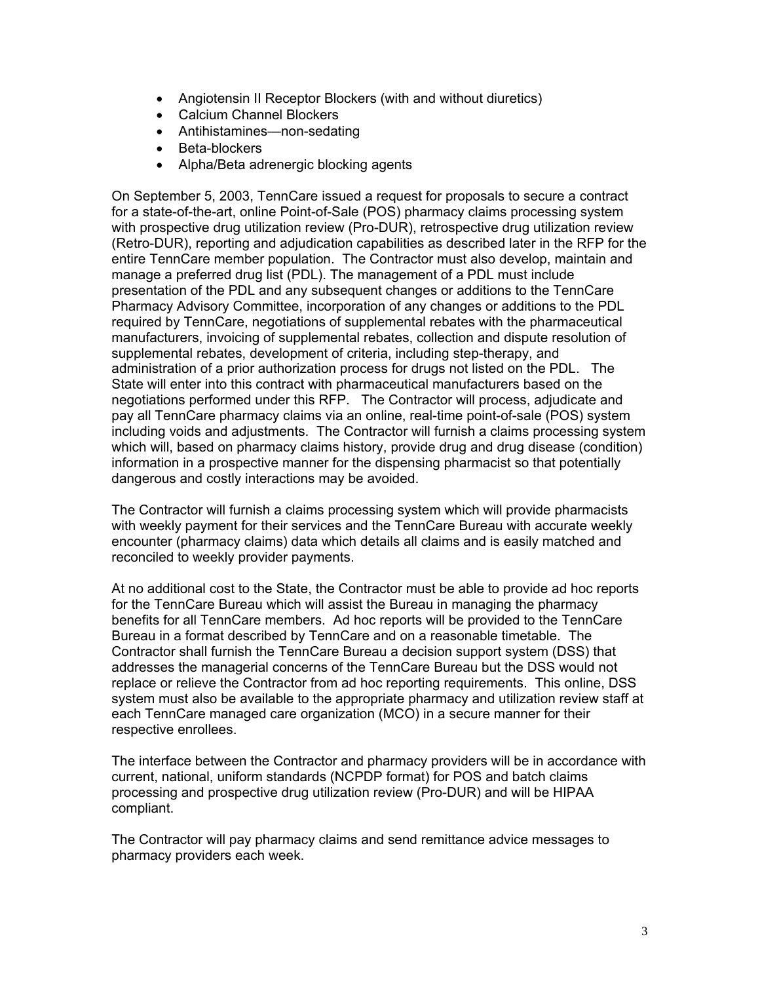- Angiotensin II Receptor Blockers (with and without diuretics)
- Calcium Channel Blockers
- Antihistamines—non-sedating
- Beta-blockers
- Alpha/Beta adrenergic blocking agents

On September 5, 2003, TennCare issued a request for proposals to secure a contract for a state-of-the-art, online Point-of-Sale (POS) pharmacy claims processing system with prospective drug utilization review (Pro-DUR), retrospective drug utilization review (Retro-DUR), reporting and adjudication capabilities as described later in the RFP for the entire TennCare member population. The Contractor must also develop, maintain and manage a preferred drug list (PDL). The management of a PDL must include presentation of the PDL and any subsequent changes or additions to the TennCare Pharmacy Advisory Committee, incorporation of any changes or additions to the PDL required by TennCare, negotiations of supplemental rebates with the pharmaceutical manufacturers, invoicing of supplemental rebates, collection and dispute resolution of supplemental rebates, development of criteria, including step-therapy, and administration of a prior authorization process for drugs not listed on the PDL. The State will enter into this contract with pharmaceutical manufacturers based on the negotiations performed under this RFP. The Contractor will process, adjudicate and pay all TennCare pharmacy claims via an online, real-time point-of-sale (POS) system including voids and adjustments. The Contractor will furnish a claims processing system which will, based on pharmacy claims history, provide drug and drug disease (condition) information in a prospective manner for the dispensing pharmacist so that potentially dangerous and costly interactions may be avoided.

The Contractor will furnish a claims processing system which will provide pharmacists with weekly payment for their services and the TennCare Bureau with accurate weekly encounter (pharmacy claims) data which details all claims and is easily matched and reconciled to weekly provider payments.

At no additional cost to the State, the Contractor must be able to provide ad hoc reports for the TennCare Bureau which will assist the Bureau in managing the pharmacy benefits for all TennCare members. Ad hoc reports will be provided to the TennCare Bureau in a format described by TennCare and on a reasonable timetable. The Contractor shall furnish the TennCare Bureau a decision support system (DSS) that addresses the managerial concerns of the TennCare Bureau but the DSS would not replace or relieve the Contractor from ad hoc reporting requirements. This online, DSS system must also be available to the appropriate pharmacy and utilization review staff at each TennCare managed care organization (MCO) in a secure manner for their respective enrollees.

The interface between the Contractor and pharmacy providers will be in accordance with current, national, uniform standards (NCPDP format) for POS and batch claims processing and prospective drug utilization review (Pro-DUR) and will be HIPAA compliant.

The Contractor will pay pharmacy claims and send remittance advice messages to pharmacy providers each week.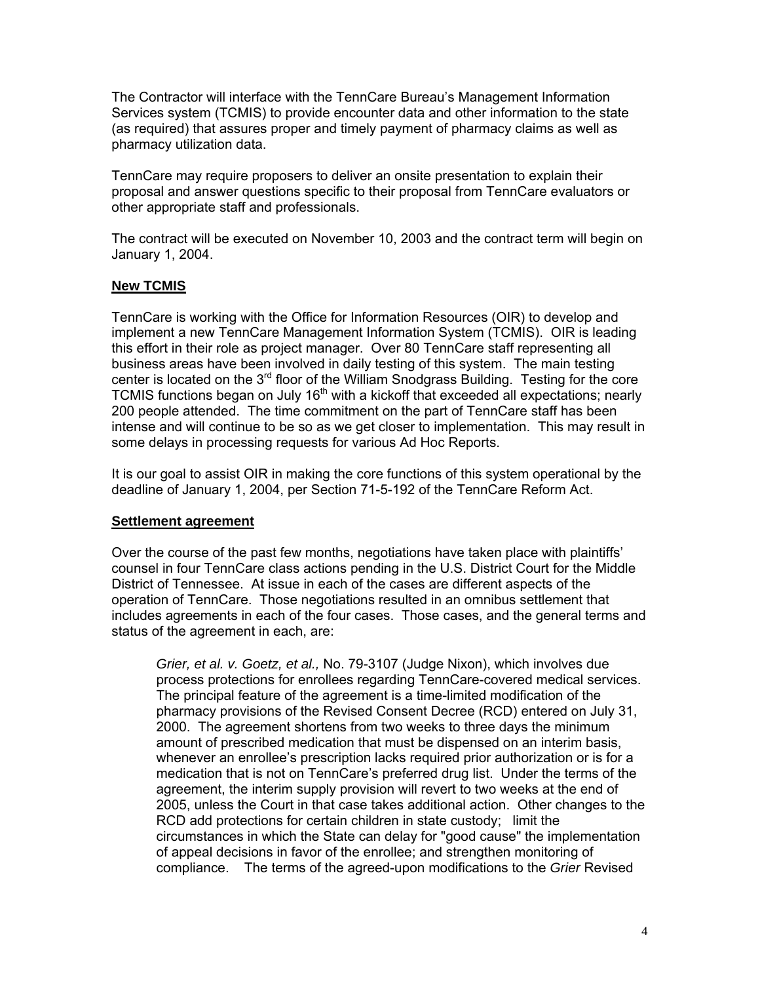The Contractor will interface with the TennCare Bureau's Management Information Services system (TCMIS) to provide encounter data and other information to the state (as required) that assures proper and timely payment of pharmacy claims as well as pharmacy utilization data.

TennCare may require proposers to deliver an onsite presentation to explain their proposal and answer questions specific to their proposal from TennCare evaluators or other appropriate staff and professionals.

The contract will be executed on November 10, 2003 and the contract term will begin on January 1, 2004.

#### **New TCMIS**

TennCare is working with the Office for Information Resources (OIR) to develop and implement a new TennCare Management Information System (TCMIS). OIR is leading this effort in their role as project manager. Over 80 TennCare staff representing all business areas have been involved in daily testing of this system. The main testing center is located on the  $3<sup>rd</sup>$  floor of the William Snodgrass Building. Testing for the core TCMIS functions began on July 16<sup>th</sup> with a kickoff that exceeded all expectations; nearly 200 people attended. The time commitment on the part of TennCare staff has been intense and will continue to be so as we get closer to implementation. This may result in some delays in processing requests for various Ad Hoc Reports.

It is our goal to assist OIR in making the core functions of this system operational by the deadline of January 1, 2004, per Section 71-5-192 of the TennCare Reform Act.

#### **Settlement agreement**

Over the course of the past few months, negotiations have taken place with plaintiffs' counsel in four TennCare class actions pending in the U.S. District Court for the Middle District of Tennessee. At issue in each of the cases are different aspects of the operation of TennCare. Those negotiations resulted in an omnibus settlement that includes agreements in each of the four cases. Those cases, and the general terms and status of the agreement in each, are:

*Grier, et al. v. Goetz, et al.,* No. 79-3107 (Judge Nixon), which involves due process protections for enrollees regarding TennCare-covered medical services. The principal feature of the agreement is a time-limited modification of the pharmacy provisions of the Revised Consent Decree (RCD) entered on July 31, 2000. The agreement shortens from two weeks to three days the minimum amount of prescribed medication that must be dispensed on an interim basis, whenever an enrollee's prescription lacks required prior authorization or is for a medication that is not on TennCare's preferred drug list. Under the terms of the agreement, the interim supply provision will revert to two weeks at the end of 2005, unless the Court in that case takes additional action. Other changes to the RCD add protections for certain children in state custody; limit the circumstances in which the State can delay for "good cause" the implementation of appeal decisions in favor of the enrollee; and strengthen monitoring of compliance. The terms of the agreed-upon modifications to the *Grier* Revised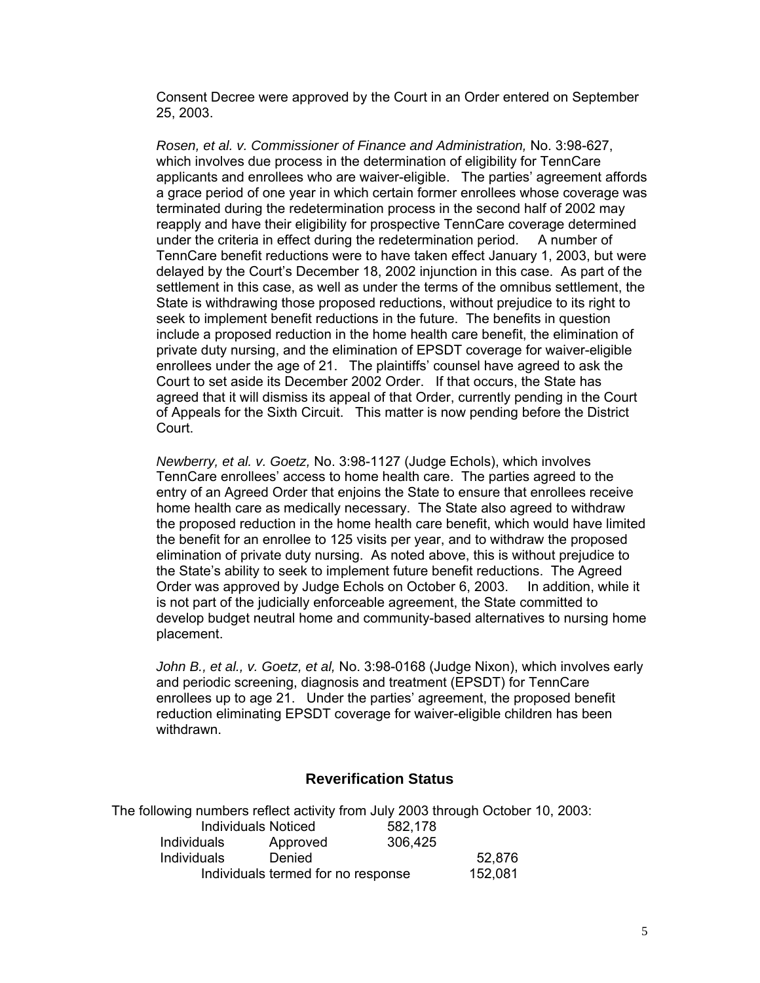Consent Decree were approved by the Court in an Order entered on September 25, 2003.

*Rosen, et al. v. Commissioner of Finance and Administration,* No. 3:98-627, which involves due process in the determination of eligibility for TennCare applicants and enrollees who are waiver-eligible. The parties' agreement affords a grace period of one year in which certain former enrollees whose coverage was terminated during the redetermination process in the second half of 2002 may reapply and have their eligibility for prospective TennCare coverage determined under the criteria in effect during the redetermination period. A number of TennCare benefit reductions were to have taken effect January 1, 2003, but were delayed by the Court's December 18, 2002 injunction in this case. As part of the settlement in this case, as well as under the terms of the omnibus settlement, the State is withdrawing those proposed reductions, without prejudice to its right to seek to implement benefit reductions in the future. The benefits in question include a proposed reduction in the home health care benefit, the elimination of private duty nursing, and the elimination of EPSDT coverage for waiver-eligible enrollees under the age of 21. The plaintiffs' counsel have agreed to ask the Court to set aside its December 2002 Order. If that occurs, the State has agreed that it will dismiss its appeal of that Order, currently pending in the Court of Appeals for the Sixth Circuit. This matter is now pending before the District Court.

*Newberry, et al. v. Goetz,* No. 3:98-1127 (Judge Echols), which involves TennCare enrollees' access to home health care. The parties agreed to the entry of an Agreed Order that enjoins the State to ensure that enrollees receive home health care as medically necessary. The State also agreed to withdraw the proposed reduction in the home health care benefit, which would have limited the benefit for an enrollee to 125 visits per year, and to withdraw the proposed elimination of private duty nursing. As noted above, this is without prejudice to the State's ability to seek to implement future benefit reductions. The Agreed Order was approved by Judge Echols on October 6, 2003. In addition, while it is not part of the judicially enforceable agreement, the State committed to develop budget neutral home and community-based alternatives to nursing home placement.

*John B., et al., v. Goetz, et al,* No. 3:98-0168 (Judge Nixon), which involves early and periodic screening, diagnosis and treatment (EPSDT) for TennCare enrollees up to age 21. Under the parties' agreement, the proposed benefit reduction eliminating EPSDT coverage for waiver-eligible children has been withdrawn.

#### **Reverification Status**

The following numbers reflect activity from July 2003 through October 10, 2003: Individuals Noticed 582,178 Individuals Approved 306,425 Individuals Denied 52,876 Individuals termed for no response 152,081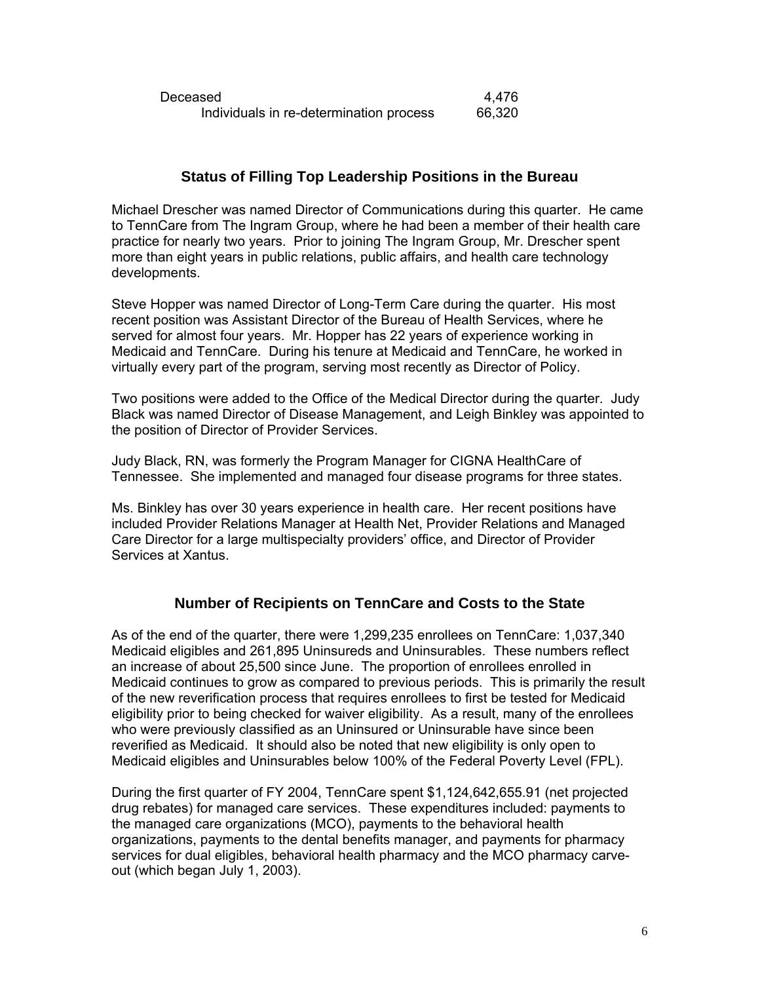| Deceased                                | 4.476  |
|-----------------------------------------|--------|
| Individuals in re-determination process | 66,320 |

# **Status of Filling Top Leadership Positions in the Bureau**

Michael Drescher was named Director of Communications during this quarter. He came to TennCare from The Ingram Group, where he had been a member of their health care practice for nearly two years. Prior to joining The Ingram Group, Mr. Drescher spent more than eight years in public relations, public affairs, and health care technology developments.

Steve Hopper was named Director of Long-Term Care during the quarter. His most recent position was Assistant Director of the Bureau of Health Services, where he served for almost four years. Mr. Hopper has 22 years of experience working in Medicaid and TennCare. During his tenure at Medicaid and TennCare, he worked in virtually every part of the program, serving most recently as Director of Policy.

Two positions were added to the Office of the Medical Director during the quarter. Judy Black was named Director of Disease Management, and Leigh Binkley was appointed to the position of Director of Provider Services.

Judy Black, RN, was formerly the Program Manager for CIGNA HealthCare of Tennessee. She implemented and managed four disease programs for three states.

Ms. Binkley has over 30 years experience in health care. Her recent positions have included Provider Relations Manager at Health Net, Provider Relations and Managed Care Director for a large multispecialty providers' office, and Director of Provider Services at Xantus.

## **Number of Recipients on TennCare and Costs to the State**

As of the end of the quarter, there were 1,299,235 enrollees on TennCare: 1,037,340 Medicaid eligibles and 261,895 Uninsureds and Uninsurables. These numbers reflect an increase of about 25,500 since June. The proportion of enrollees enrolled in Medicaid continues to grow as compared to previous periods. This is primarily the result of the new reverification process that requires enrollees to first be tested for Medicaid eligibility prior to being checked for waiver eligibility. As a result, many of the enrollees who were previously classified as an Uninsured or Uninsurable have since been reverified as Medicaid. It should also be noted that new eligibility is only open to Medicaid eligibles and Uninsurables below 100% of the Federal Poverty Level (FPL).

During the first quarter of FY 2004, TennCare spent \$1,124,642,655.91 (net projected drug rebates) for managed care services. These expenditures included: payments to the managed care organizations (MCO), payments to the behavioral health organizations, payments to the dental benefits manager, and payments for pharmacy services for dual eligibles, behavioral health pharmacy and the MCO pharmacy carveout (which began July 1, 2003).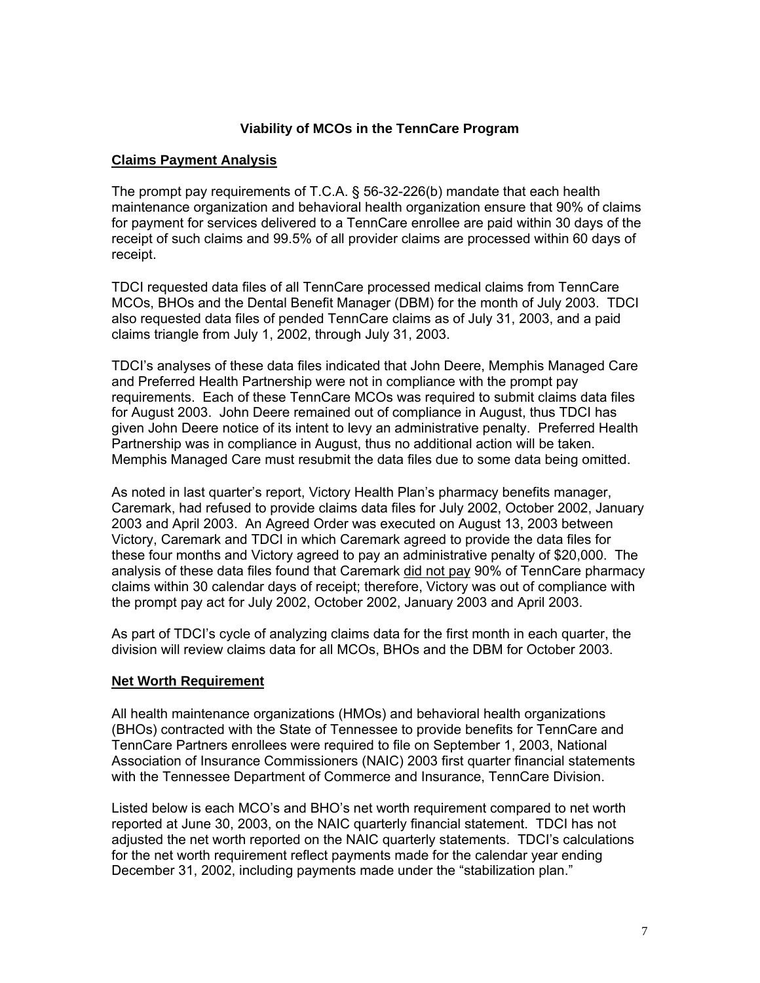#### **Viability of MCOs in the TennCare Program**

#### **Claims Payment Analysis**

The prompt pay requirements of T.C.A. § 56-32-226(b) mandate that each health maintenance organization and behavioral health organization ensure that 90% of claims for payment for services delivered to a TennCare enrollee are paid within 30 days of the receipt of such claims and 99.5% of all provider claims are processed within 60 days of receipt.

TDCI requested data files of all TennCare processed medical claims from TennCare MCOs, BHOs and the Dental Benefit Manager (DBM) for the month of July 2003. TDCI also requested data files of pended TennCare claims as of July 31, 2003, and a paid claims triangle from July 1, 2002, through July 31, 2003.

TDCI's analyses of these data files indicated that John Deere, Memphis Managed Care and Preferred Health Partnership were not in compliance with the prompt pay requirements. Each of these TennCare MCOs was required to submit claims data files for August 2003. John Deere remained out of compliance in August, thus TDCI has given John Deere notice of its intent to levy an administrative penalty. Preferred Health Partnership was in compliance in August, thus no additional action will be taken. Memphis Managed Care must resubmit the data files due to some data being omitted.

As noted in last quarter's report, Victory Health Plan's pharmacy benefits manager, Caremark, had refused to provide claims data files for July 2002, October 2002, January 2003 and April 2003. An Agreed Order was executed on August 13, 2003 between Victory, Caremark and TDCI in which Caremark agreed to provide the data files for these four months and Victory agreed to pay an administrative penalty of \$20,000. The analysis of these data files found that Caremark did not pay 90% of TennCare pharmacy claims within 30 calendar days of receipt; therefore, Victory was out of compliance with the prompt pay act for July 2002, October 2002, January 2003 and April 2003.

As part of TDCI's cycle of analyzing claims data for the first month in each quarter, the division will review claims data for all MCOs, BHOs and the DBM for October 2003.

#### **Net Worth Requirement**

All health maintenance organizations (HMOs) and behavioral health organizations (BHOs) contracted with the State of Tennessee to provide benefits for TennCare and TennCare Partners enrollees were required to file on September 1, 2003, National Association of Insurance Commissioners (NAIC) 2003 first quarter financial statements with the Tennessee Department of Commerce and Insurance, TennCare Division.

Listed below is each MCO's and BHO's net worth requirement compared to net worth reported at June 30, 2003, on the NAIC quarterly financial statement. TDCI has not adjusted the net worth reported on the NAIC quarterly statements. TDCI's calculations for the net worth requirement reflect payments made for the calendar year ending December 31, 2002, including payments made under the "stabilization plan."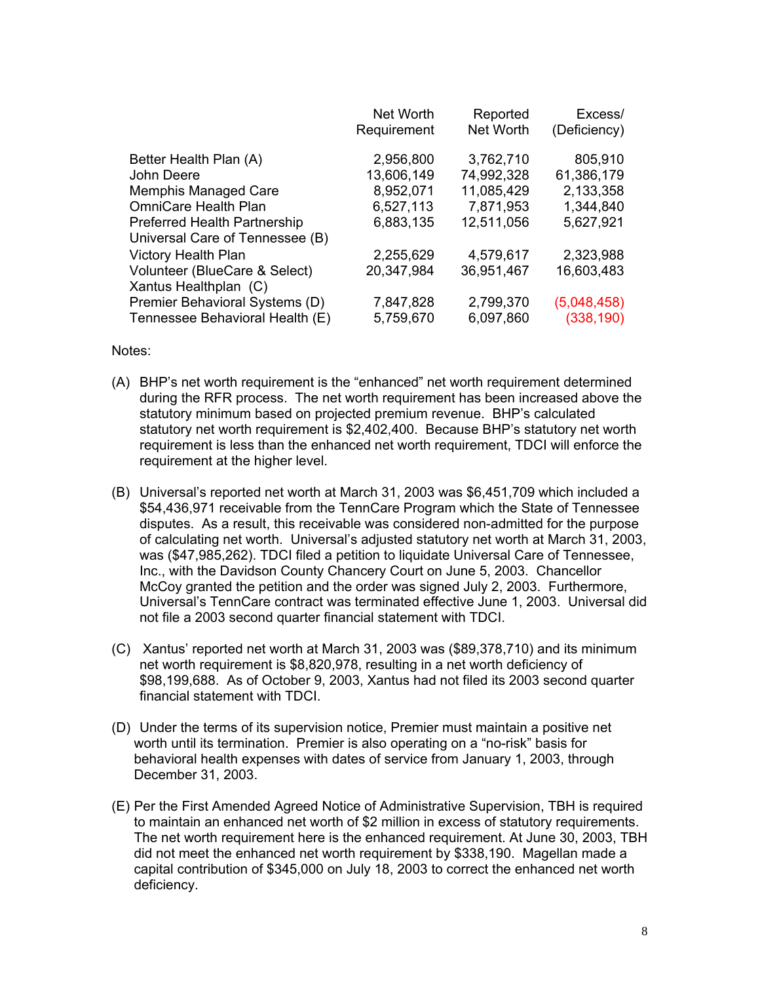|                                     | Net Worth<br>Requirement | Reported<br>Net Worth | Excess/<br>(Deficiency) |
|-------------------------------------|--------------------------|-----------------------|-------------------------|
|                                     |                          |                       |                         |
| Better Health Plan (A)              | 2,956,800                | 3,762,710             | 805,910                 |
| John Deere                          | 13,606,149               | 74,992,328            | 61,386,179              |
| <b>Memphis Managed Care</b>         | 8,952,071                | 11,085,429            | 2,133,358               |
| OmniCare Health Plan                | 6,527,113                | 7,871,953             | 1,344,840               |
| <b>Preferred Health Partnership</b> | 6,883,135                | 12,511,056            | 5,627,921               |
| Universal Care of Tennessee (B)     |                          |                       |                         |
| <b>Victory Health Plan</b>          | 2,255,629                | 4,579,617             | 2,323,988               |
| Volunteer (BlueCare & Select)       | 20,347,984               | 36,951,467            | 16,603,483              |
| Xantus Healthplan (C)               |                          |                       |                         |
| Premier Behavioral Systems (D)      | 7,847,828                | 2,799,370             | (5,048,458)             |
| Tennessee Behavioral Health (E)     | 5,759,670                | 6,097,860             | (338, 190)              |

Notes:

- (A) BHP's net worth requirement is the "enhanced" net worth requirement determined during the RFR process. The net worth requirement has been increased above the statutory minimum based on projected premium revenue. BHP's calculated statutory net worth requirement is \$2,402,400. Because BHP's statutory net worth requirement is less than the enhanced net worth requirement, TDCI will enforce the requirement at the higher level.
- (B) Universal's reported net worth at March 31, 2003 was \$6,451,709 which included a \$54,436,971 receivable from the TennCare Program which the State of Tennessee disputes. As a result, this receivable was considered non-admitted for the purpose of calculating net worth. Universal's adjusted statutory net worth at March 31, 2003, was (\$47,985,262). TDCI filed a petition to liquidate Universal Care of Tennessee, Inc., with the Davidson County Chancery Court on June 5, 2003. Chancellor McCoy granted the petition and the order was signed July 2, 2003. Furthermore, Universal's TennCare contract was terminated effective June 1, 2003. Universal did not file a 2003 second quarter financial statement with TDCI.
- (C) Xantus' reported net worth at March 31, 2003 was (\$89,378,710) and its minimum net worth requirement is \$8,820,978, resulting in a net worth deficiency of \$98,199,688. As of October 9, 2003, Xantus had not filed its 2003 second quarter financial statement with TDCI.
- (D) Under the terms of its supervision notice, Premier must maintain a positive net worth until its termination. Premier is also operating on a "no-risk" basis for behavioral health expenses with dates of service from January 1, 2003, through December 31, 2003.
- (E) Per the First Amended Agreed Notice of Administrative Supervision, TBH is required to maintain an enhanced net worth of \$2 million in excess of statutory requirements. The net worth requirement here is the enhanced requirement. At June 30, 2003, TBH did not meet the enhanced net worth requirement by \$338,190. Magellan made a capital contribution of \$345,000 on July 18, 2003 to correct the enhanced net worth deficiency.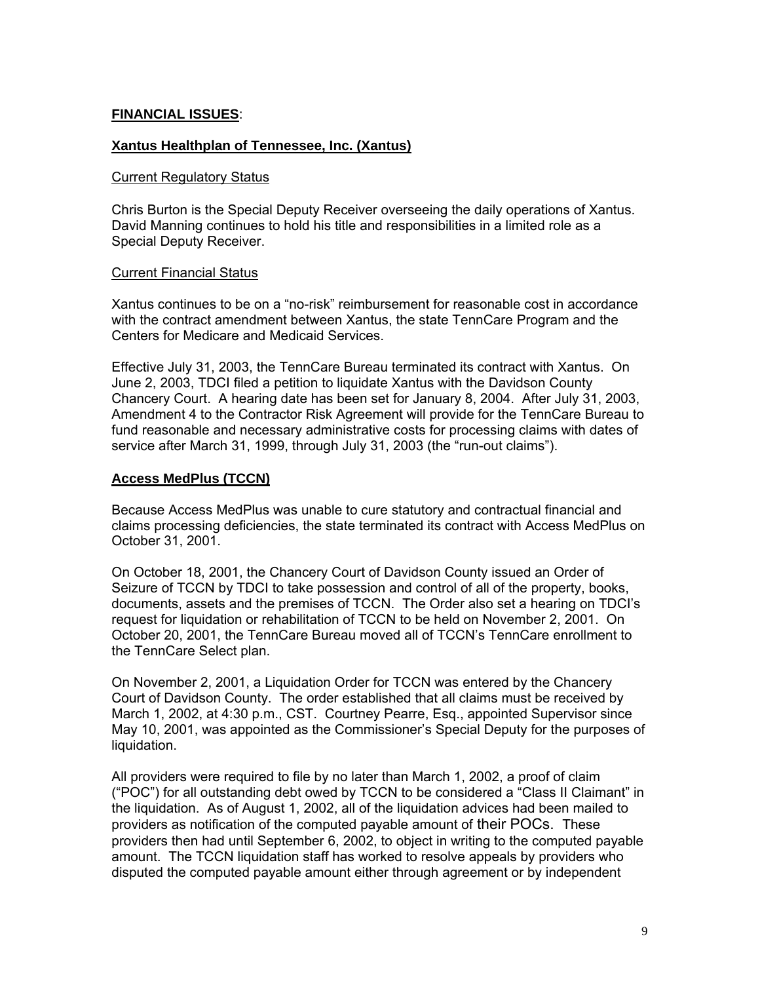#### **FINANCIAL ISSUES**:

#### **Xantus Healthplan of Tennessee, Inc. (Xantus)**

#### **Current Regulatory Status**

Chris Burton is the Special Deputy Receiver overseeing the daily operations of Xantus. David Manning continues to hold his title and responsibilities in a limited role as a Special Deputy Receiver.

#### Current Financial Status

Xantus continues to be on a "no-risk" reimbursement for reasonable cost in accordance with the contract amendment between Xantus, the state TennCare Program and the Centers for Medicare and Medicaid Services.

Effective July 31, 2003, the TennCare Bureau terminated its contract with Xantus. On June 2, 2003, TDCI filed a petition to liquidate Xantus with the Davidson County Chancery Court. A hearing date has been set for January 8, 2004. After July 31, 2003, Amendment 4 to the Contractor Risk Agreement will provide for the TennCare Bureau to fund reasonable and necessary administrative costs for processing claims with dates of service after March 31, 1999, through July 31, 2003 (the "run-out claims").

#### **Access MedPlus (TCCN)**

Because Access MedPlus was unable to cure statutory and contractual financial and claims processing deficiencies, the state terminated its contract with Access MedPlus on October 31, 2001.

On October 18, 2001, the Chancery Court of Davidson County issued an Order of Seizure of TCCN by TDCI to take possession and control of all of the property, books, documents, assets and the premises of TCCN. The Order also set a hearing on TDCI's request for liquidation or rehabilitation of TCCN to be held on November 2, 2001. On October 20, 2001, the TennCare Bureau moved all of TCCN's TennCare enrollment to the TennCare Select plan.

On November 2, 2001, a Liquidation Order for TCCN was entered by the Chancery Court of Davidson County. The order established that all claims must be received by March 1, 2002, at 4:30 p.m., CST. Courtney Pearre, Esq., appointed Supervisor since May 10, 2001, was appointed as the Commissioner's Special Deputy for the purposes of liquidation.

All providers were required to file by no later than March 1, 2002, a proof of claim ("POC") for all outstanding debt owed by TCCN to be considered a "Class II Claimant" in the liquidation. As of August 1, 2002, all of the liquidation advices had been mailed to providers as notification of the computed payable amount of their POCs. These providers then had until September 6, 2002, to object in writing to the computed payable amount. The TCCN liquidation staff has worked to resolve appeals by providers who disputed the computed payable amount either through agreement or by independent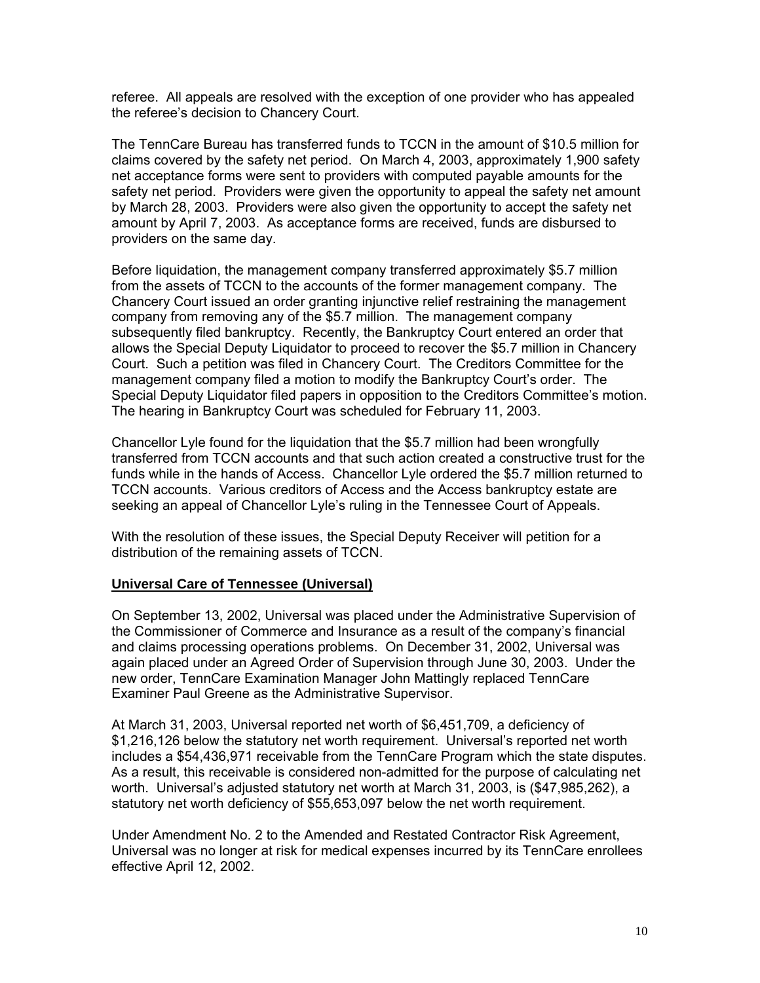referee. All appeals are resolved with the exception of one provider who has appealed the referee's decision to Chancery Court.

The TennCare Bureau has transferred funds to TCCN in the amount of \$10.5 million for claims covered by the safety net period. On March 4, 2003, approximately 1,900 safety net acceptance forms were sent to providers with computed payable amounts for the safety net period. Providers were given the opportunity to appeal the safety net amount by March 28, 2003. Providers were also given the opportunity to accept the safety net amount by April 7, 2003. As acceptance forms are received, funds are disbursed to providers on the same day.

Before liquidation, the management company transferred approximately \$5.7 million from the assets of TCCN to the accounts of the former management company. The Chancery Court issued an order granting injunctive relief restraining the management company from removing any of the \$5.7 million. The management company subsequently filed bankruptcy. Recently, the Bankruptcy Court entered an order that allows the Special Deputy Liquidator to proceed to recover the \$5.7 million in Chancery Court. Such a petition was filed in Chancery Court. The Creditors Committee for the management company filed a motion to modify the Bankruptcy Court's order. The Special Deputy Liquidator filed papers in opposition to the Creditors Committee's motion. The hearing in Bankruptcy Court was scheduled for February 11, 2003.

Chancellor Lyle found for the liquidation that the \$5.7 million had been wrongfully transferred from TCCN accounts and that such action created a constructive trust for the funds while in the hands of Access. Chancellor Lyle ordered the \$5.7 million returned to TCCN accounts. Various creditors of Access and the Access bankruptcy estate are seeking an appeal of Chancellor Lyle's ruling in the Tennessee Court of Appeals.

With the resolution of these issues, the Special Deputy Receiver will petition for a distribution of the remaining assets of TCCN.

#### **Universal Care of Tennessee (Universal)**

On September 13, 2002, Universal was placed under the Administrative Supervision of the Commissioner of Commerce and Insurance as a result of the company's financial and claims processing operations problems. On December 31, 2002, Universal was again placed under an Agreed Order of Supervision through June 30, 2003. Under the new order, TennCare Examination Manager John Mattingly replaced TennCare Examiner Paul Greene as the Administrative Supervisor.

At March 31, 2003, Universal reported net worth of \$6,451,709, a deficiency of \$1,216,126 below the statutory net worth requirement. Universal's reported net worth includes a \$54,436,971 receivable from the TennCare Program which the state disputes. As a result, this receivable is considered non-admitted for the purpose of calculating net worth. Universal's adjusted statutory net worth at March 31, 2003, is (\$47,985,262), a statutory net worth deficiency of \$55,653,097 below the net worth requirement.

Under Amendment No. 2 to the Amended and Restated Contractor Risk Agreement, Universal was no longer at risk for medical expenses incurred by its TennCare enrollees effective April 12, 2002.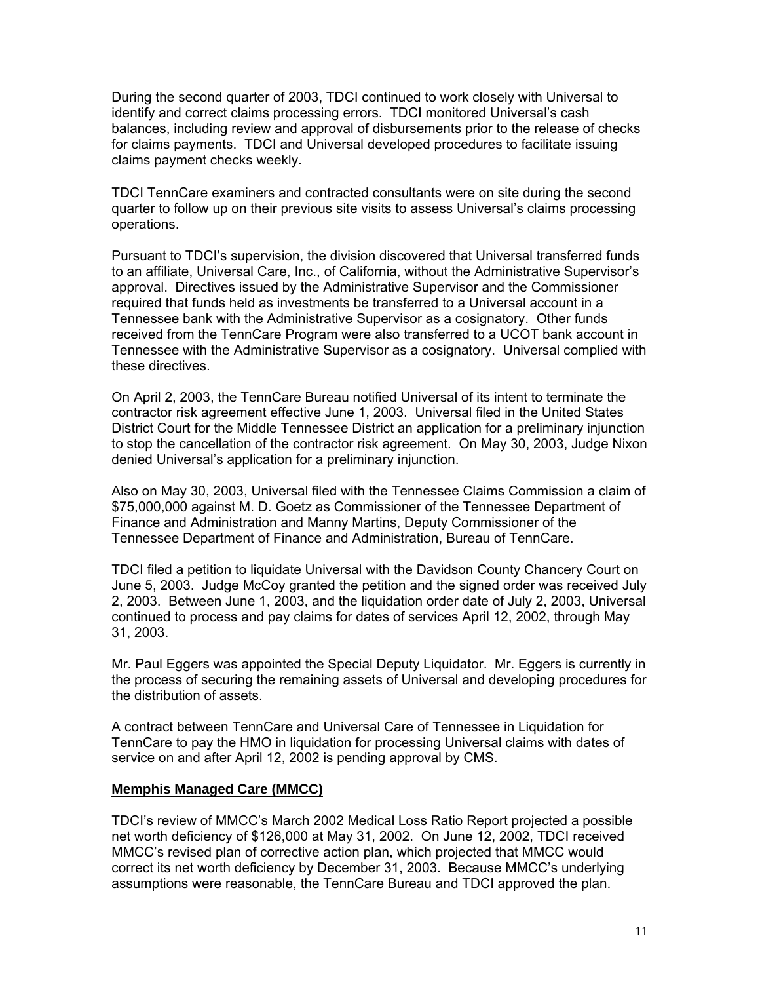During the second quarter of 2003, TDCI continued to work closely with Universal to identify and correct claims processing errors. TDCI monitored Universal's cash balances, including review and approval of disbursements prior to the release of checks for claims payments. TDCI and Universal developed procedures to facilitate issuing claims payment checks weekly.

TDCI TennCare examiners and contracted consultants were on site during the second quarter to follow up on their previous site visits to assess Universal's claims processing operations.

Pursuant to TDCI's supervision, the division discovered that Universal transferred funds to an affiliate, Universal Care, Inc., of California, without the Administrative Supervisor's approval. Directives issued by the Administrative Supervisor and the Commissioner required that funds held as investments be transferred to a Universal account in a Tennessee bank with the Administrative Supervisor as a cosignatory. Other funds received from the TennCare Program were also transferred to a UCOT bank account in Tennessee with the Administrative Supervisor as a cosignatory. Universal complied with these directives.

On April 2, 2003, the TennCare Bureau notified Universal of its intent to terminate the contractor risk agreement effective June 1, 2003. Universal filed in the United States District Court for the Middle Tennessee District an application for a preliminary injunction to stop the cancellation of the contractor risk agreement. On May 30, 2003, Judge Nixon denied Universal's application for a preliminary injunction.

Also on May 30, 2003, Universal filed with the Tennessee Claims Commission a claim of \$75,000,000 against M. D. Goetz as Commissioner of the Tennessee Department of Finance and Administration and Manny Martins, Deputy Commissioner of the Tennessee Department of Finance and Administration, Bureau of TennCare.

TDCI filed a petition to liquidate Universal with the Davidson County Chancery Court on June 5, 2003. Judge McCoy granted the petition and the signed order was received July 2, 2003. Between June 1, 2003, and the liquidation order date of July 2, 2003, Universal continued to process and pay claims for dates of services April 12, 2002, through May 31, 2003.

Mr. Paul Eggers was appointed the Special Deputy Liquidator. Mr. Eggers is currently in the process of securing the remaining assets of Universal and developing procedures for the distribution of assets.

A contract between TennCare and Universal Care of Tennessee in Liquidation for TennCare to pay the HMO in liquidation for processing Universal claims with dates of service on and after April 12, 2002 is pending approval by CMS.

#### **Memphis Managed Care (MMCC)**

TDCI's review of MMCC's March 2002 Medical Loss Ratio Report projected a possible net worth deficiency of \$126,000 at May 31, 2002. On June 12, 2002, TDCI received MMCC's revised plan of corrective action plan, which projected that MMCC would correct its net worth deficiency by December 31, 2003. Because MMCC's underlying assumptions were reasonable, the TennCare Bureau and TDCI approved the plan.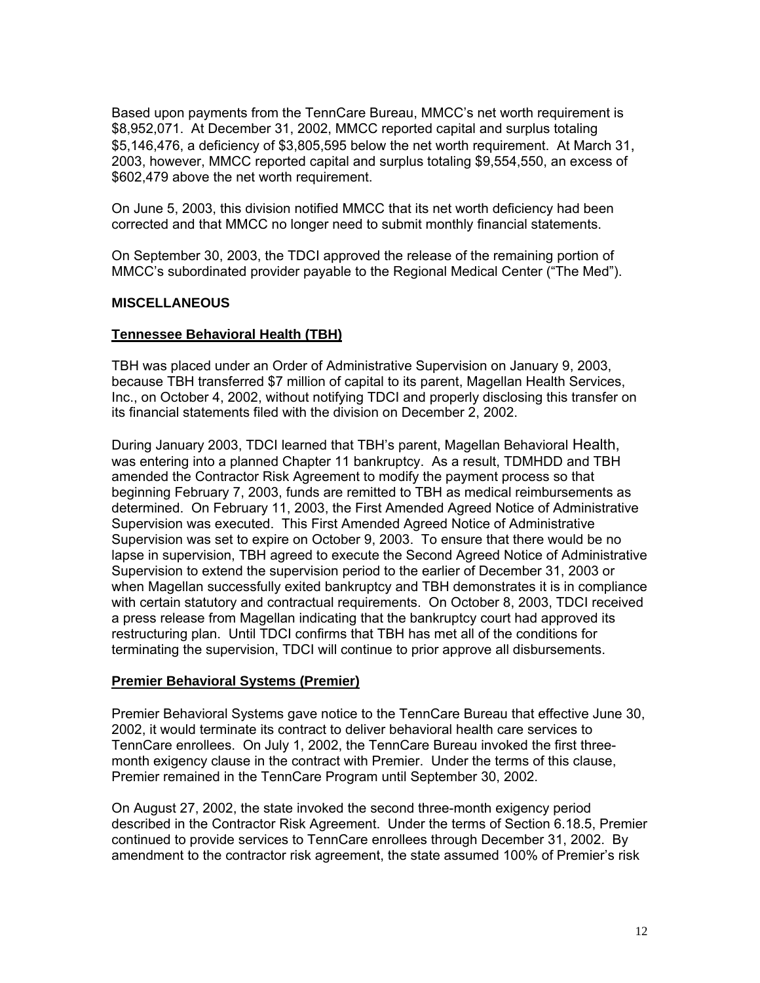Based upon payments from the TennCare Bureau, MMCC's net worth requirement is \$8,952,071. At December 31, 2002, MMCC reported capital and surplus totaling \$5,146,476, a deficiency of \$3,805,595 below the net worth requirement. At March 31, 2003, however, MMCC reported capital and surplus totaling \$9,554,550, an excess of \$602,479 above the net worth requirement.

On June 5, 2003, this division notified MMCC that its net worth deficiency had been corrected and that MMCC no longer need to submit monthly financial statements.

On September 30, 2003, the TDCI approved the release of the remaining portion of MMCC's subordinated provider payable to the Regional Medical Center ("The Med").

#### **MISCELLANEOUS**

#### **Tennessee Behavioral Health (TBH)**

TBH was placed under an Order of Administrative Supervision on January 9, 2003, because TBH transferred \$7 million of capital to its parent, Magellan Health Services, Inc., on October 4, 2002, without notifying TDCI and properly disclosing this transfer on its financial statements filed with the division on December 2, 2002.

During January 2003, TDCI learned that TBH's parent, Magellan Behavioral Health, was entering into a planned Chapter 11 bankruptcy. As a result, TDMHDD and TBH amended the Contractor Risk Agreement to modify the payment process so that beginning February 7, 2003, funds are remitted to TBH as medical reimbursements as determined. On February 11, 2003, the First Amended Agreed Notice of Administrative Supervision was executed. This First Amended Agreed Notice of Administrative Supervision was set to expire on October 9, 2003. To ensure that there would be no lapse in supervision, TBH agreed to execute the Second Agreed Notice of Administrative Supervision to extend the supervision period to the earlier of December 31, 2003 or when Magellan successfully exited bankruptcy and TBH demonstrates it is in compliance with certain statutory and contractual requirements. On October 8, 2003, TDCI received a press release from Magellan indicating that the bankruptcy court had approved its restructuring plan. Until TDCI confirms that TBH has met all of the conditions for terminating the supervision, TDCI will continue to prior approve all disbursements.

#### **Premier Behavioral Systems (Premier)**

Premier Behavioral Systems gave notice to the TennCare Bureau that effective June 30, 2002, it would terminate its contract to deliver behavioral health care services to TennCare enrollees. On July 1, 2002, the TennCare Bureau invoked the first threemonth exigency clause in the contract with Premier. Under the terms of this clause, Premier remained in the TennCare Program until September 30, 2002.

On August 27, 2002, the state invoked the second three-month exigency period described in the Contractor Risk Agreement. Under the terms of Section 6.18.5, Premier continued to provide services to TennCare enrollees through December 31, 2002. By amendment to the contractor risk agreement, the state assumed 100% of Premier's risk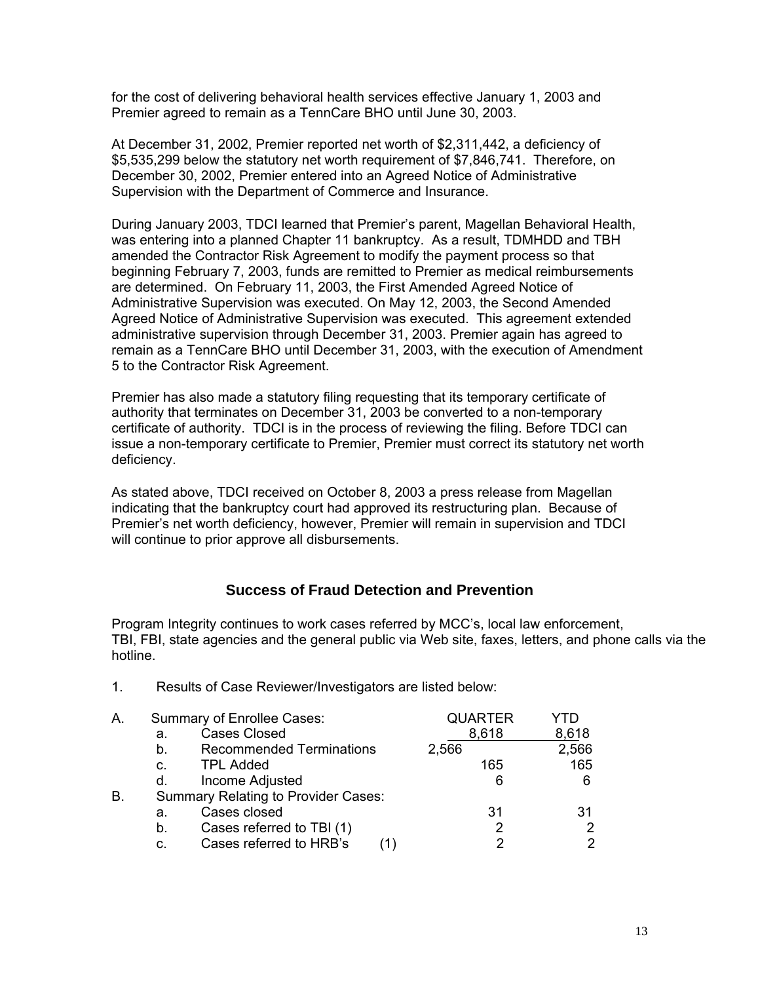for the cost of delivering behavioral health services effective January 1, 2003 and Premier agreed to remain as a TennCare BHO until June 30, 2003.

At December 31, 2002, Premier reported net worth of \$2,311,442, a deficiency of \$5,535,299 below the statutory net worth requirement of \$7,846,741. Therefore, on December 30, 2002, Premier entered into an Agreed Notice of Administrative Supervision with the Department of Commerce and Insurance.

During January 2003, TDCI learned that Premier's parent, Magellan Behavioral Health, was entering into a planned Chapter 11 bankruptcy. As a result, TDMHDD and TBH amended the Contractor Risk Agreement to modify the payment process so that beginning February 7, 2003, funds are remitted to Premier as medical reimbursements are determined. On February 11, 2003, the First Amended Agreed Notice of Administrative Supervision was executed. On May 12, 2003, the Second Amended Agreed Notice of Administrative Supervision was executed. This agreement extended administrative supervision through December 31, 2003. Premier again has agreed to remain as a TennCare BHO until December 31, 2003, with the execution of Amendment 5 to the Contractor Risk Agreement.

Premier has also made a statutory filing requesting that its temporary certificate of authority that terminates on December 31, 2003 be converted to a non-temporary certificate of authority. TDCI is in the process of reviewing the filing. Before TDCI can issue a non-temporary certificate to Premier, Premier must correct its statutory net worth deficiency.

As stated above, TDCI received on October 8, 2003 a press release from Magellan indicating that the bankruptcy court had approved its restructuring plan. Because of Premier's net worth deficiency, however, Premier will remain in supervision and TDCI will continue to prior approve all disbursements.

## **Success of Fraud Detection and Prevention**

Program Integrity continues to work cases referred by MCC's, local law enforcement, TBI, FBI, state agencies and the general public via Web site, faxes, letters, and phone calls via the hotline.

| A. |                | Summary of Enrollee Cases:                 | <b>QUARTER</b> |       |
|----|----------------|--------------------------------------------|----------------|-------|
|    | a.             | <b>Cases Closed</b>                        | 8,618          | 8,618 |
|    | b.             | <b>Recommended Terminations</b>            | 2,566          | 2,566 |
|    | $\mathbf{C}$ . | <b>TPL Added</b>                           | 165            | 165   |
|    | d.             | Income Adjusted                            | 6              | 6     |
| В. |                | <b>Summary Relating to Provider Cases:</b> |                |       |
|    | a.             | Cases closed                               | 31             | 31    |
|    | b.             | Cases referred to TBI (1)                  | 2              |       |
|    | C.             | Cases referred to HRB's                    | າ              | 2     |
|    |                |                                            |                |       |

1. Results of Case Reviewer/Investigators are listed below: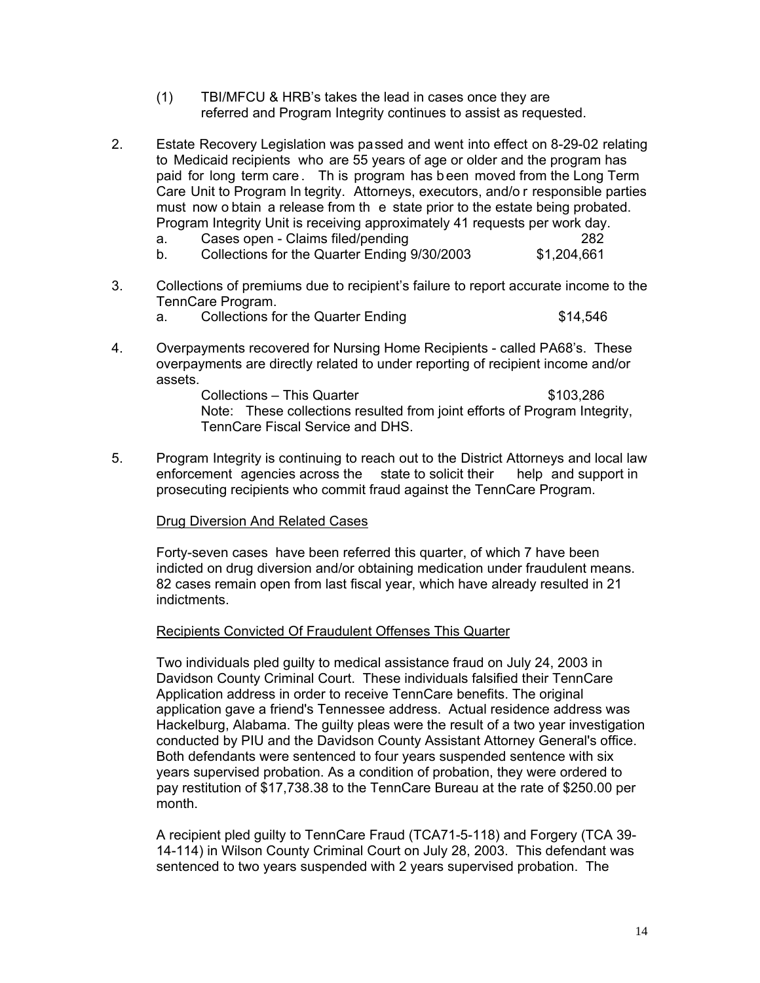- (1) TBI/MFCU & HRB's takes the lead in cases once they are referred and Program Integrity continues to assist as requested.
- $2<sub>1</sub>$ 2. Estate Recovery Legislation was passed and went into effect on 8-29-02 relating to Medicaid recipients who are 55 years of age or older and the program has paid for long term care . Th is program has b een moved from the Long Term Care Unit to Program In tegrity. Attorneys, executors, and/o r responsible parties must now o btain a release from th e state prior to the estate being probated. Program Integrity Unit is receiving approximately 41 requests per work day.<br>a. Cases open - Claims filed/pending
	- a. Cases open Claims filed/pending<br>b. Collections for the Quarter Ending 9/30/2003 51.204.661
	- b. Collections for the Quarter Ending 9/30/2003
- 3. Collections of premiums due to recipient's failure to report accurate income to the TennCare Program.
	- a. Collections for the Quarter Ending **\$14,546**
- 4. Overpayments recovered for Nursing Home Recipients called PA68's. These overpayments are directly related to under reporting of recipient income and/or assets.

Collections – This Quarter **\$103,286** Note: These collections resulted from joint efforts of Program Integrity, TennCare Fiscal Service and DHS.

5. Program Integrity is continuing to reach out to the District Attorneys and local law<br>enforcement agencies across the state to solicit their help and support in enforcement agencies across the prosecuting recipients who commit fraud against the TennCare Program.

#### Drug Diversion And Related Cases

 Forty-seven cases have been referred this quarter, of which 7 have been indicted on drug diversion and/or obtaining medication under fraudulent means. 82 cases remain open from last fiscal year, which have already resulted in 21 indictments.

#### Recipients Convicted Of Fraudulent Offenses This Quarter

 Two individuals pled guilty to medical assistance fraud on July 24, 2003 in Davidson County Criminal Court. These individuals falsified their TennCare Application address in order to receive TennCare benefits. The original application gave a friend's Tennessee address. Actual residence address was Hackelburg, Alabama. The guilty pleas were the result of a two year investigation conducted by PIU and the Davidson County Assistant Attorney General's office. Both defendants were sentenced to four years suspended sentence with six years supervised probation. As a condition of probation, they were ordered to pay restitution of \$17,738.38 to the TennCare Bureau at the rate of \$250.00 per month.

 A recipient pled guilty to TennCare Fraud (TCA71-5-118) and Forgery (TCA 39- 14-114) in Wilson County Criminal Court on July 28, 2003. This defendant was sentenced to two years suspended with 2 years supervised probation. The